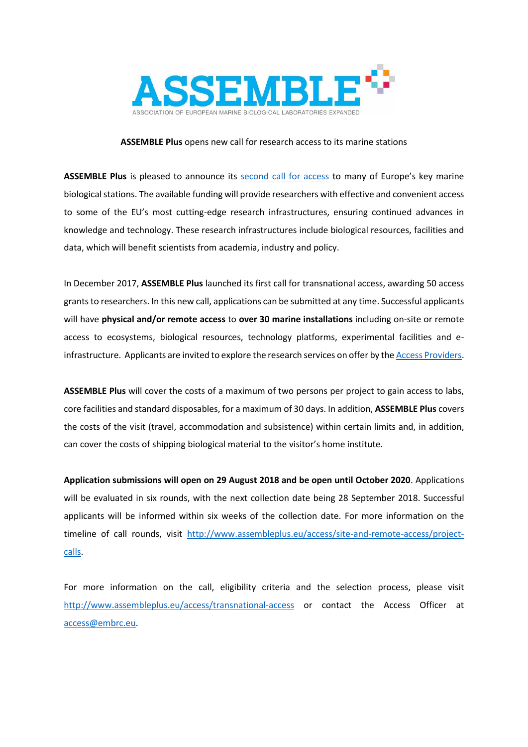

## **ASSEMBLE Plus** opens new call for research access to its marine stations

**ASSEMBLE Plus** is pleased to announce its [second call for access](http://www.assembleplus.eu/access/transnational-access) to many of Europe's key marine biological stations. The available funding will provide researchers with effective and convenient access to some of the EU's most cutting-edge research infrastructures, ensuring continued advances in knowledge and technology. These research infrastructures include biological resources, facilities and data, which will benefit scientists from academia, industry and policy.

In December 2017, **ASSEMBLE Plus** launched its first call for transnational access, awarding 50 access grants to researchers. In this new call, applications can be submitted at any time. Successful applicants will have **physical and/or remote access** to **over 30 marine installations** including on-site or remote access to ecosystems, biological resources, technology platforms, experimental facilities and einfrastructure. Applicants are invited to explore the research services on offer by th[e Access Providers.](http://www.assembleplus.eu/access/access-providers)

**ASSEMBLE Plus** will cover the costs of a maximum of two persons per project to gain access to labs, core facilities and standard disposables, for a maximum of 30 days. In addition, **ASSEMBLE Plus** covers the costs of the visit (travel, accommodation and subsistence) within certain limits and, in addition, can cover the costs of shipping biological material to the visitor's home institute.

**Application submissions will open on 29 August 2018 and be open until October 2020**. Applications will be evaluated in six rounds, with the next collection date being 28 September 2018. Successful applicants will be informed within six weeks of the collection date. For more information on the timeline of call rounds, visit [http://www.assembleplus.eu/access/site-and-remote-access/project](http://www.assembleplus.eu/access/site-and-remote-access/project-calls)[calls.](http://www.assembleplus.eu/access/site-and-remote-access/project-calls)

For more information on the call, eligibility criteria and the selection process, please visit http://www.assembleplus.eu/access/transnational-access or contact the Access Officer at [access@embrc.eu.](mailto:access@embrc.eu)